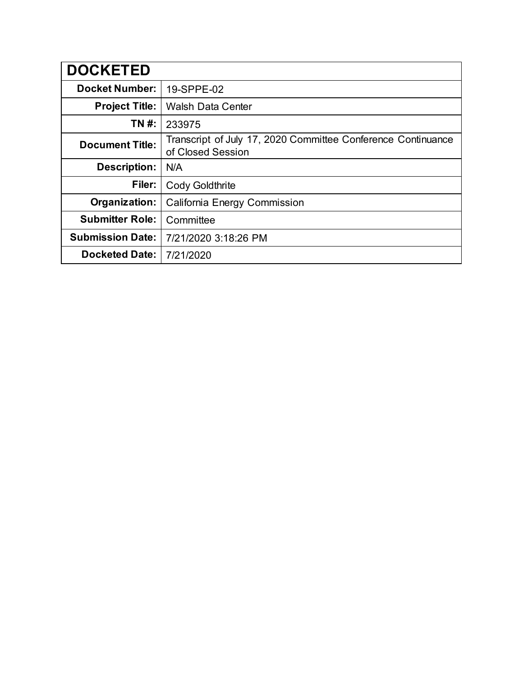| <b>DOCKETED</b>         |                                                                                   |  |
|-------------------------|-----------------------------------------------------------------------------------|--|
| <b>Docket Number:</b>   | 19-SPPE-02                                                                        |  |
| <b>Project Title:</b>   | <b>Walsh Data Center</b>                                                          |  |
| <b>TN#:</b>             | 233975                                                                            |  |
| <b>Document Title:</b>  | Transcript of July 17, 2020 Committee Conference Continuance<br>of Closed Session |  |
| <b>Description:</b>     | N/A                                                                               |  |
| Filer:                  | <b>Cody Goldthrite</b>                                                            |  |
| Organization:           | California Energy Commission                                                      |  |
| <b>Submitter Role:</b>  | Committee                                                                         |  |
| <b>Submission Date:</b> | 7/21/2020 3:18:26 PM                                                              |  |
| <b>Docketed Date:</b>   | 7/21/2020                                                                         |  |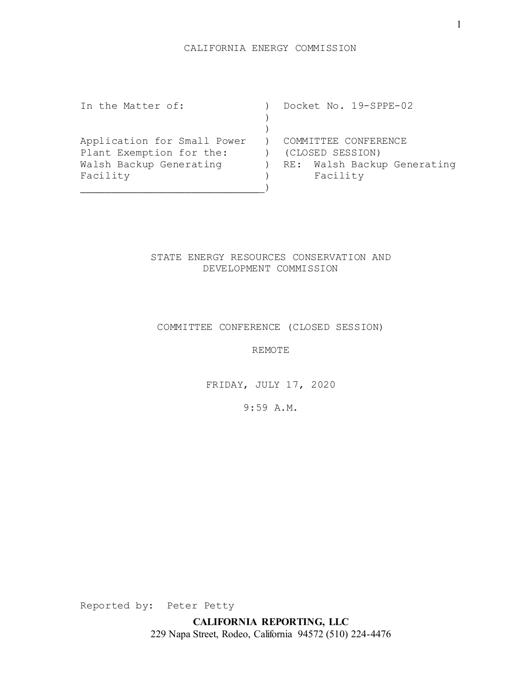In the Matter of: ) Docket No. 19-SPPE-02  $\left( \right)$  $)$ Application for Small Power ) COMMITTEE CONFERENCE Plant Exemption for the: (CLOSED SESSION) Walsh Backup Generating (a) RE: Walsh Backup Generating Facility (Facility ) Facility  $)$ 

# STATE ENERGY RESOURCES CONSERVATION AND DEVELOPMENT COMMISSION

#### COMMITTEE CONFERENCE (CLOSED SESSION)

REMOTE

FRIDAY, JULY 17, 2020

9:59 A.M.

Reported by: Peter Petty

**CALIFORNIA REPORTING, LLC** 229 Napa Street, Rodeo, California 94572 (510) 224-4476 1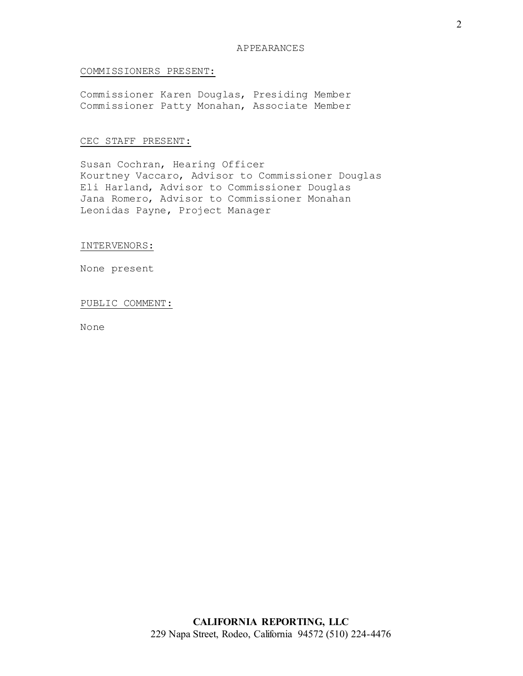## COMMISSIONERS PRESENT:

Commissioner Karen Douglas, Presiding Member Commissioner Patty Monahan, Associate Member

## CEC STAFF PRESENT:

Susan Cochran, Hearing Officer Kourtney Vaccaro, Advisor to Commissioner Douglas Eli Harland, Advisor to Commissioner Douglas Jana Romero, Advisor to Commissioner Monahan Leonidas Payne, Project Manager

INTERVENORS:

None present

#### PUBLIC COMMENT:

None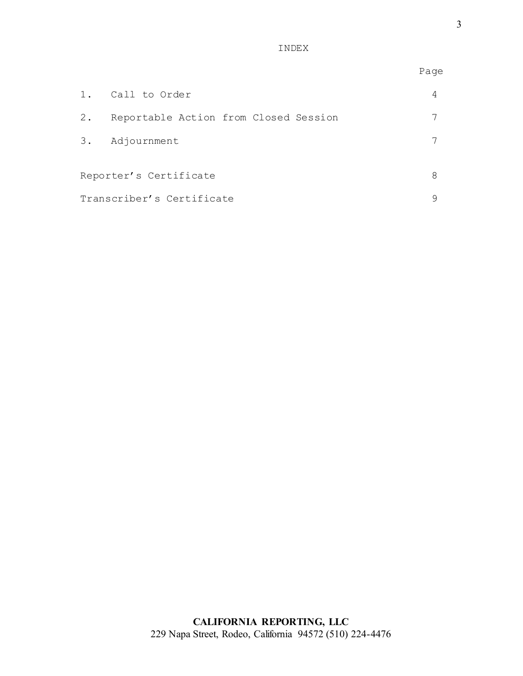INDEX

|                           |                                       | Page |
|---------------------------|---------------------------------------|------|
| $1$ .                     | Call to Order                         | 4    |
| $2$ .                     | Reportable Action from Closed Session |      |
|                           | 3. Adjournment                        |      |
|                           |                                       | 8    |
| Reporter's Certificate    |                                       |      |
| Transcriber's Certificate |                                       |      |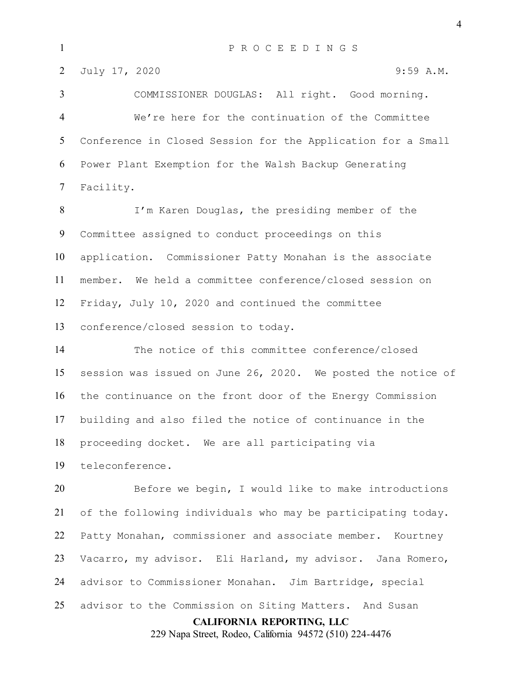COMMISSIONER DOUGLAS: All right. Good morning. We're here for the continuation of the Committee Conference in Closed Session for the Application for a Small Power Plant Exemption for the Walsh Backup Generating Facility.

 I'm Karen Douglas, the presiding member of the Committee assigned to conduct proceedings on this application. Commissioner Patty Monahan is the associate member. We held a committee conference/closed session on Friday, July 10, 2020 and continued the committee conference/closed session to today.

 The notice of this committee conference/closed session was issued on June 26, 2020. We posted the notice of the continuance on the front door of the Energy Commission building and also filed the notice of continuance in the proceeding docket. We are all participating via

teleconference.

**CALIFORNIA REPORTING, LLC** Before we begin, I would like to make introductions of the following individuals who may be participating today. Patty Monahan, commissioner and associate member. Kourtney Vacarro, my advisor. Eli Harland, my advisor. Jana Romero, advisor to Commissioner Monahan. Jim Bartridge, special advisor to the Commission on Siting Matters. And Susan

229 Napa Street, Rodeo, California 94572 (510) 224-4476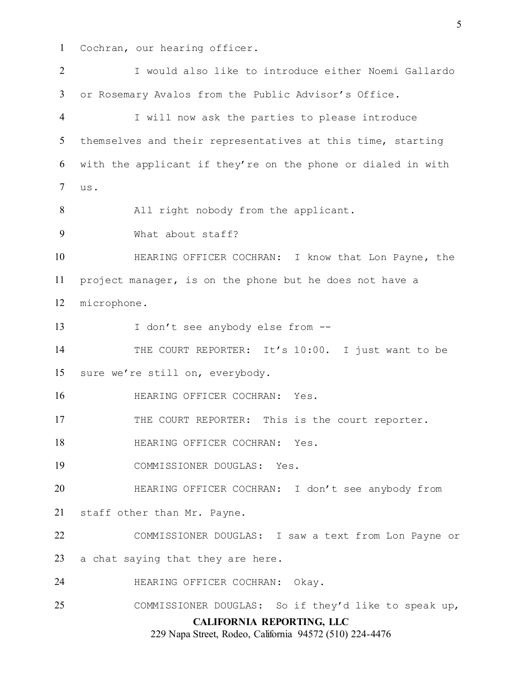Cochran, our hearing officer.

**CALIFORNIA REPORTING, LLC** 229 Napa Street, Rodeo, California 94572 (510) 224-4476 I would also like to introduce either Noemi Gallardo or Rosemary Avalos from the Public Advisor's Office. I will now ask the parties to please introduce themselves and their representatives at this time, starting with the applicant if they're on the phone or dialed in with us. 8 All right nobody from the applicant. What about staff? HEARING OFFICER COCHRAN: I know that Lon Payne, the project manager, is on the phone but he does not have a microphone. 13 I don't see anybody else from --14 THE COURT REPORTER: It's 10:00. I just want to be sure we're still on, everybody. **HEARING OFFICER COCHRAN:** Yes. 17 THE COURT REPORTER: This is the court reporter. **HEARING OFFICER COCHRAN:** Yes. COMMISSIONER DOUGLAS: Yes. HEARING OFFICER COCHRAN: I don't see anybody from staff other than Mr. Payne. COMMISSIONER DOUGLAS: I saw a text from Lon Payne or a chat saying that they are here. HEARING OFFICER COCHRAN: Okay. COMMISSIONER DOUGLAS: So if they'd like to speak up,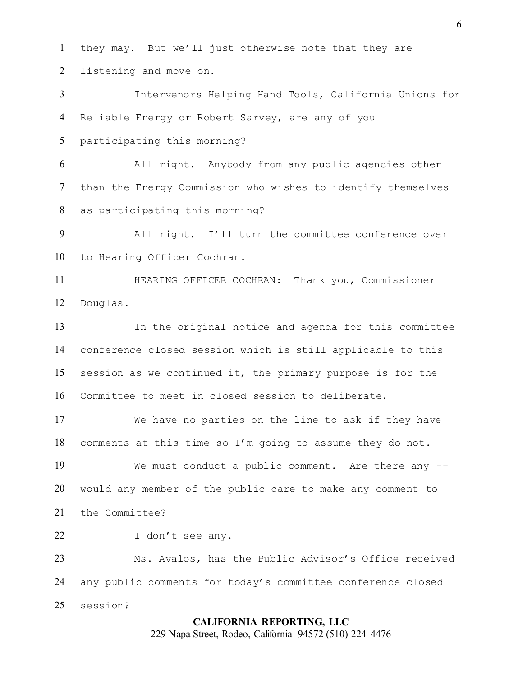they may. But we'll just otherwise note that they are listening and move on.

 Intervenors Helping Hand Tools, California Unions for Reliable Energy or Robert Sarvey, are any of you

participating this morning?

 All right. Anybody from any public agencies other than the Energy Commission who wishes to identify themselves as participating this morning?

 All right. I'll turn the committee conference over to Hearing Officer Cochran.

 HEARING OFFICER COCHRAN: Thank you, Commissioner Douglas.

 In the original notice and agenda for this committee conference closed session which is still applicable to this session as we continued it, the primary purpose is for the Committee to meet in closed session to deliberate.

 We have no parties on the line to ask if they have comments at this time so I'm going to assume they do not.

 We must conduct a public comment. Are there any -- would any member of the public care to make any comment to the Committee?

22 I don't see any.

 Ms. Avalos, has the Public Advisor's Office received any public comments for today's committee conference closed session?

#### **CALIFORNIA REPORTING, LLC**

229 Napa Street, Rodeo, California 94572 (510) 224-4476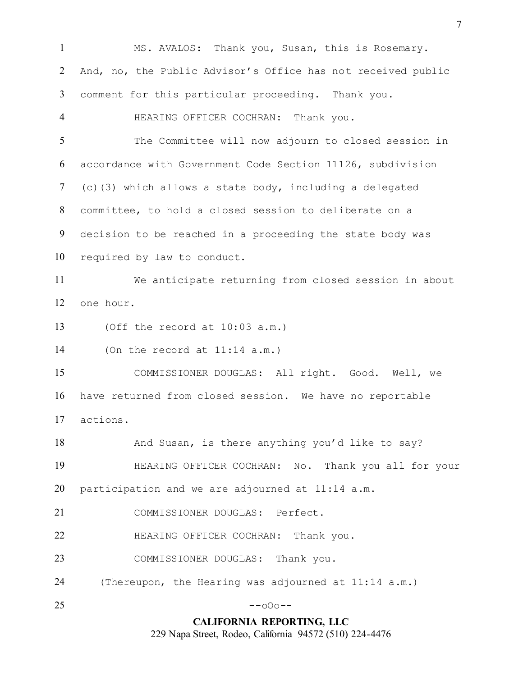**CALIFORNIA REPORTING, LLC** 229 Napa Street, Rodeo, California 94572 (510) 224-4476 MS. AVALOS: Thank you, Susan, this is Rosemary. And, no, the Public Advisor's Office has not received public comment for this particular proceeding. Thank you. HEARING OFFICER COCHRAN: Thank you. The Committee will now adjourn to closed session in accordance with Government Code Section 11126, subdivision (c)(3) which allows a state body, including a delegated committee, to hold a closed session to deliberate on a decision to be reached in a proceeding the state body was required by law to conduct. We anticipate returning from closed session in about one hour. (Off the record at 10:03 a.m.) (On the record at 11:14 a.m.) COMMISSIONER DOUGLAS: All right. Good. Well, we have returned from closed session. We have no reportable actions. 18 And Susan, is there anything you'd like to say? HEARING OFFICER COCHRAN: No. Thank you all for your participation and we are adjourned at 11:14 a.m. COMMISSIONER DOUGLAS: Perfect. HEARING OFFICER COCHRAN: Thank you. 23 COMMISSIONER DOUGLAS: Thank you. (Thereupon, the Hearing was adjourned at 11:14 a.m.) --000--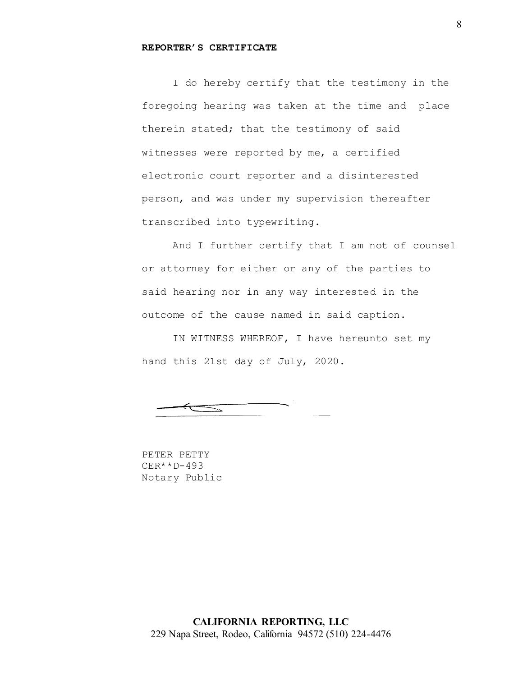#### **REPORTER'S CERTIFICATE**

I do hereby certify that the testimony in the foregoing hearing was taken at the time and place therein stated; that the testimony of said witnesses were reported by me, a certified electronic court reporter and a disinterested person, and was under my supervision thereafter transcribed into typewriting.

And I further certify that I am not of counsel or attorney for either or any of the parties to said hearing nor in any way interested in the outcome of the cause named in said caption.

IN WITNESS WHEREOF, I have hereunto set my hand this 21st day of July, 2020.

 $\equiv$ 

PETER PETTY CER\*\*D-493 Notary Public